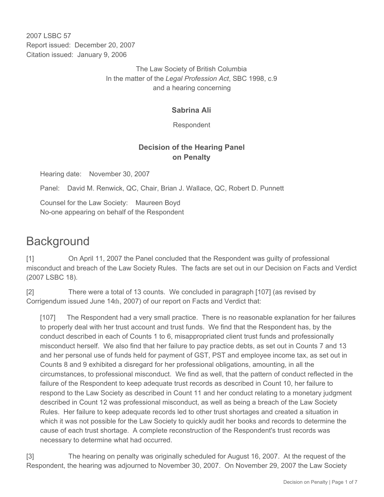2007 LSBC 57 Report issued: December 20, 2007 Citation issued: January 9, 2006

> The Law Society of British Columbia In the matter of the *Legal Profession Act*, SBC 1998, c.9 and a hearing concerning

## **Sabrina Ali**

Respondent

# **Decision of the Hearing Panel on Penalty**

Hearing date: November 30, 2007

Panel: David M. Renwick, QC, Chair, Brian J. Wallace, QC, Robert D. Punnett

Counsel for the Law Society: Maureen Boyd No-one appearing on behalf of the Respondent

# **Background**

[1] On April 11, 2007 the Panel concluded that the Respondent was guilty of professional misconduct and breach of the Law Society Rules. The facts are set out in our Decision on Facts and Verdict (2007 LSBC 18).

[2] There were a total of 13 counts. We concluded in paragraph [107] (as revised by Corrigendum issued June 14th, 2007) of our report on Facts and Verdict that:

[107] The Respondent had a very small practice. There is no reasonable explanation for her failures to properly deal with her trust account and trust funds. We find that the Respondent has, by the conduct described in each of Counts 1 to 6, misappropriated client trust funds and professionally misconduct herself. We also find that her failure to pay practice debts, as set out in Counts 7 and 13 and her personal use of funds held for payment of GST, PST and employee income tax, as set out in Counts 8 and 9 exhibited a disregard for her professional obligations, amounting, in all the circumstances, to professional misconduct. We find as well, that the pattern of conduct reflected in the failure of the Respondent to keep adequate trust records as described in Count 10, her failure to respond to the Law Society as described in Count 11 and her conduct relating to a monetary judgment described in Count 12 was professional misconduct, as well as being a breach of the Law Society Rules. Her failure to keep adequate records led to other trust shortages and created a situation in which it was not possible for the Law Society to quickly audit her books and records to determine the cause of each trust shortage. A complete reconstruction of the Respondent's trust records was necessary to determine what had occurred.

[3] The hearing on penalty was originally scheduled for August 16, 2007. At the request of the Respondent, the hearing was adjourned to November 30, 2007. On November 29, 2007 the Law Society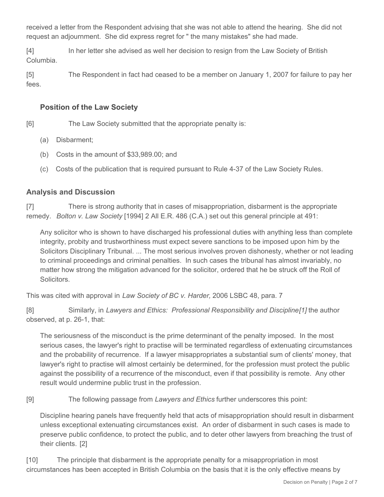received a letter from the Respondent advising that she was not able to attend the hearing. She did not request an adjournment. She did express regret for " the many mistakes" she had made.

[4] In her letter she advised as well her decision to resign from the Law Society of British Columbia.

[5] The Respondent in fact had ceased to be a member on January 1, 2007 for failure to pay her fees.

#### **Position of the Law Society**

[6] The Law Society submitted that the appropriate penalty is:

- (a) Disbarment;
- (b) Costs in the amount of \$33,989.00; and
- (c) Costs of the publication that is required pursuant to Rule 4-37 of the Law Society Rules.

### **Analysis and Discussion**

[7] There is strong authority that in cases of misappropriation, disbarment is the appropriate remedy. *Bolton v. Law Society* [1994] 2 All E.R. 486 (C.A.) set out this general principle at 491:

Any solicitor who is shown to have discharged his professional duties with anything less than complete integrity, probity and trustworthiness must expect severe sanctions to be imposed upon him by the Solicitors Disciplinary Tribunal. ... The most serious involves proven dishonesty, whether or not leading to criminal proceedings and criminal penalties. In such cases the tribunal has almost invariably, no matter how strong the mitigation advanced for the solicitor, ordered that he be struck off the Roll of Solicitors.

This was cited with approval in *Law Society of BC v. Harder,* 2006 LSBC 48, para. 7

[8] Similarly, in *Lawyers and Ethics: Professional Responsibility and Discipline[1]* the author observed, at p. 26-1, that:

The seriousness of the misconduct is the prime determinant of the penalty imposed. In the most serious cases, the lawyer's right to practise will be terminated regardless of extenuating circumstances and the probability of recurrence. If a lawyer misappropriates a substantial sum of clients' money, that lawyer's right to practise will almost certainly be determined, for the profession must protect the public against the possibility of a recurrence of the misconduct, even if that possibility is remote. Any other result would undermine public trust in the profession.

[9] The following passage from *Lawyers and Ethics* further underscores this point:

Discipline hearing panels have frequently held that acts of misappropriation should result in disbarment unless exceptional extenuating circumstances exist. An order of disbarment in such cases is made to preserve public confidence, to protect the public, and to deter other lawyers from breaching the trust of their clients. [2]

[10] The principle that disbarment is the appropriate penalty for a misappropriation in most circumstances has been accepted in British Columbia on the basis that it is the only effective means by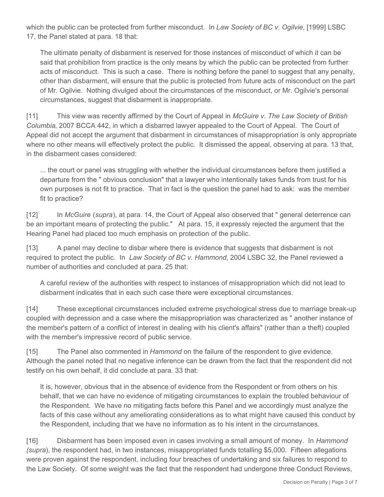which the public can be protected from further misconduct. In *Law Society of BC v. Ogilvie*, [1999] LSBC 17, the Panel stated at para. 18 that:

The ultimate penalty of disbarment is reserved for those instances of misconduct of which it can be said that prohibition from practice is the only means by which the public can be protected from further acts of misconduct. This is such a case. There is nothing before the panel to suggest that any penalty, other than disbarment, will ensure that the public is protected from future acts of misconduct on the part of Mr. Ogilvie. Nothing divulged about the circumstances of the misconduct, or Mr. Ogilvie's personal circumstances, suggest that disbarment is inappropriate.

[11] This view was recently affirmed by the Court of Appeal in *McGuire v. The Law Society of British Columbia*, 2007 BCCA 442, in which a disbarred lawyer appealed to the Court of Appeal. The Court of Appeal did not accept the argument that disbarment in circumstances of misappropriation is only appropriate where no other means will effectively protect the public. It dismissed the appeal, observing at para. 13 that, in the disbarment cases considered:

... the court or panel was struggling with whether the individual circumstances before them justified a departure from the " obvious conclusion" that a lawyer who intentionally takes funds from trust for his own purposes is not fit to practice. That in fact is the question the panel had to ask: was the member fit to practice?

[12] In *McGuire* (*supra*), at para. 14, the Court of Appeal also observed that " general deterrence can be an important means of protecting the public." At para. 15, it expressly rejected the argument that the Hearing Panel had placed too much emphasis on protection of the public.

[13] A panel may decline to disbar where there is evidence that suggests that disbarment is not required to protect the public. In *Law Society of BC v. Hammond*, 2004 LSBC 32, the Panel reviewed a number of authorities and concluded at para. 25 that:

A careful review of the authorities with respect to instances of misappropriation which did not lead to disbarment indicates that in each such case there were exceptional circumstances.

[14] These exceptional circumstances included extreme psychological stress due to marriage break-up coupled with depression and a case where the misappropriation was characterized as " another instance of the member's pattern of a conflict of interest in dealing with his client's affairs" (rather than a theft) coupled with the member's impressive record of public service.

[15] The Panel also commented in *Hammond* on the failure of the respondent to give evidence. Although the panel noted that no negative inference can be drawn from the fact that the respondent did not testify on his own behalf, it did conclude at para. 33 that:

It is, however, obvious that in the absence of evidence from the Respondent or from others on his behalf, that we can have no evidence of mitigating circumstances to explain the troubled behaviour of the Respondent. We have no mitigating facts before this Panel and we accordingly must analyze the facts of this case without any ameliorating considerations as to what might have caused this conduct by the Respondent, including that we have no information as to his intent in the circumstances.

[16] Disbarment has been imposed even in cases involving a small amount of money. In *Hammond (supra*), the respondent had, in two instances, misappropriated funds totalling \$5,000. Fifteen allegations were proven against the respondent, including four breaches of undertaking and six failures to respond to the Law Society. Of some weight was the fact that the respondent had undergone three Conduct Reviews,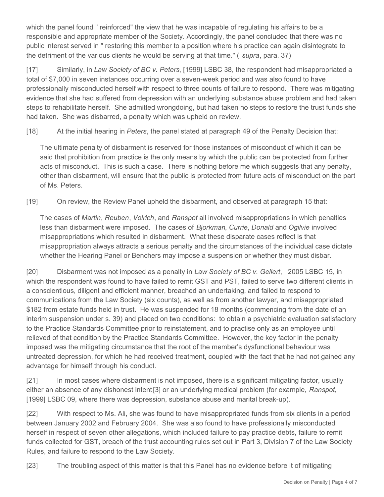which the panel found " reinforced" the view that he was incapable of regulating his affairs to be a responsible and appropriate member of the Society. Accordingly, the panel concluded that there was no public interest served in " restoring this member to a position where his practice can again disintegrate to the detriment of the various clients he would be serving at that time." ( *supra*, para. 37)

[17] Similarly, in *Law Society of BC v. Peters*, [1999] LSBC 38, the respondent had misappropriated a total of \$7,000 in seven instances occurring over a seven-week period and was also found to have professionally misconducted herself with respect to three counts of failure to respond. There was mitigating evidence that she had suffered from depression with an underlying substance abuse problem and had taken steps to rehabilitate herself. She admitted wrongdoing, but had taken no steps to restore the trust funds she had taken. She was disbarred, a penalty which was upheld on review.

[18] At the initial hearing in *Peters*, the panel stated at paragraph 49 of the Penalty Decision that:

The ultimate penalty of disbarment is reserved for those instances of misconduct of which it can be said that prohibition from practice is the only means by which the public can be protected from further acts of misconduct. This is such a case. There is nothing before me which suggests that any penalty, other than disbarment, will ensure that the public is protected from future acts of misconduct on the part of Ms. Peters.

[19] On review, the Review Panel upheld the disbarment, and observed at paragraph 15 that:

The cases of *Martin*, *Reuben*, *Volrich*, and *Ranspot* all involved misappropriations in which penalties less than disbarment were imposed. The cases of *Bjorkman*, *Currie*, *Donald* and *Ogilvie* involved misappropriations which resulted in disbarment. What these disparate cases reflect is that misappropriation always attracts a serious penalty and the circumstances of the individual case dictate whether the Hearing Panel or Benchers may impose a suspension or whether they must disbar.

[20] Disbarment was not imposed as a penalty in *Law Society of BC v. Gellert*, 2005 LSBC 15, in which the respondent was found to have failed to remit GST and PST, failed to serve two different clients in a conscientious, diligent and efficient manner, breached an undertaking, and failed to respond to communications from the Law Society (six counts), as well as from another lawyer, and misappropriated \$182 from estate funds held in trust. He was suspended for 18 months (commencing from the date of an interim suspension under s. 39) and placed on two conditions: to obtain a psychiatric evaluation satisfactory to the Practice Standards Committee prior to reinstatement, and to practise only as an employee until relieved of that condition by the Practice Standards Committee. However, the key factor in the penalty imposed was the mitigating circumstance that the root of the member's dysfunctional behaviour was untreated depression, for which he had received treatment, coupled with the fact that he had not gained any advantage for himself through his conduct.

[21] In most cases where disbarment is not imposed, there is a significant mitigating factor, usually either an absence of any dishonest intent[3] or an underlying medical problem (for example, *Ranspot*, [1999] LSBC 09, where there was depression, substance abuse and marital break-up).

[22] With respect to Ms. Ali, she was found to have misappropriated funds from six clients in a period between January 2002 and February 2004. She was also found to have professionally misconducted herself in respect of seven other allegations, which included failure to pay practice debts, failure to remit funds collected for GST, breach of the trust accounting rules set out in Part 3, Division 7 of the Law Society Rules, and failure to respond to the Law Society.

[23] The troubling aspect of this matter is that this Panel has no evidence before it of mitigating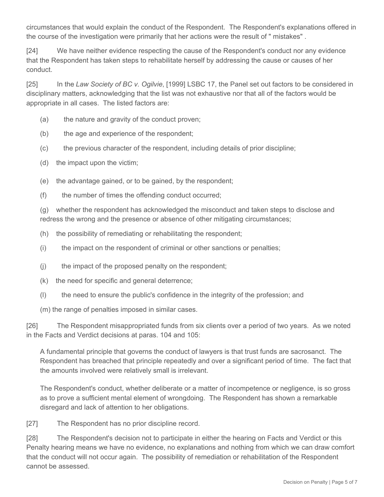circumstances that would explain the conduct of the Respondent. The Respondent's explanations offered in the course of the investigation were primarily that her actions were the result of " mistakes" .

[24] We have neither evidence respecting the cause of the Respondent's conduct nor any evidence that the Respondent has taken steps to rehabilitate herself by addressing the cause or causes of her conduct.

[25] In the *Law Society of BC v. Ogilvie*, [1999] LSBC 17, the Panel set out factors to be considered in disciplinary matters, acknowledging that the list was not exhaustive nor that all of the factors would be appropriate in all cases. The listed factors are:

- (a) the nature and gravity of the conduct proven;
- (b) the age and experience of the respondent;
- (c) the previous character of the respondent, including details of prior discipline;
- (d) the impact upon the victim;
- (e) the advantage gained, or to be gained, by the respondent;
- (f) the number of times the offending conduct occurred;

(g) whether the respondent has acknowledged the misconduct and taken steps to disclose and redress the wrong and the presence or absence of other mitigating circumstances;

- (h) the possibility of remediating or rehabilitating the respondent;
- (i) the impact on the respondent of criminal or other sanctions or penalties;
- (j) the impact of the proposed penalty on the respondent;
- (k) the need for specific and general deterrence;
- (l) the need to ensure the public's confidence in the integrity of the profession; and
- (m) the range of penalties imposed in similar cases.

[26] The Respondent misappropriated funds from six clients over a period of two years. As we noted in the Facts and Verdict decisions at paras. 104 and 105:

A fundamental principle that governs the conduct of lawyers is that trust funds are sacrosanct. The Respondent has breached that principle repeatedly and over a significant period of time. The fact that the amounts involved were relatively small is irrelevant.

The Respondent's conduct, whether deliberate or a matter of incompetence or negligence, is so gross as to prove a sufficient mental element of wrongdoing. The Respondent has shown a remarkable disregard and lack of attention to her obligations.

[27] The Respondent has no prior discipline record.

[28] The Respondent's decision not to participate in either the hearing on Facts and Verdict or this Penalty hearing means we have no evidence, no explanations and nothing from which we can draw comfort that the conduct will not occur again. The possibility of remediation or rehabilitation of the Respondent cannot be assessed.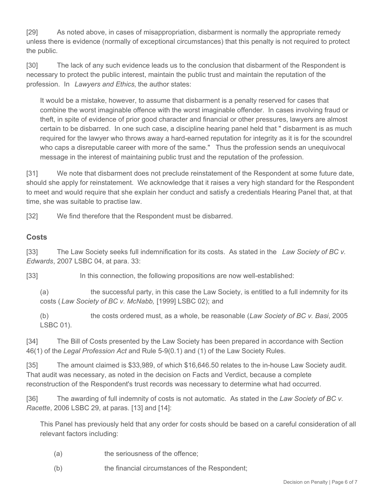[29] As noted above, in cases of misappropriation, disbarment is normally the appropriate remedy unless there is evidence (normally of exceptional circumstances) that this penalty is not required to protect the public.

[30] The lack of any such evidence leads us to the conclusion that disbarment of the Respondent is necessary to protect the public interest, maintain the public trust and maintain the reputation of the profession. In *Lawyers and Ethics*, the author states:

It would be a mistake, however, to assume that disbarment is a penalty reserved for cases that combine the worst imaginable offence with the worst imaginable offender. In cases involving fraud or theft, in spite of evidence of prior good character and financial or other pressures, lawyers are almost certain to be disbarred. In one such case, a discipline hearing panel held that " disbarment is as much required for the lawyer who throws away a hard-earned reputation for integrity as it is for the scoundrel who caps a disreputable career with more of the same." Thus the profession sends an unequivocal message in the interest of maintaining public trust and the reputation of the profession.

[31] We note that disbarment does not preclude reinstatement of the Respondent at some future date, should she apply for reinstatement. We acknowledge that it raises a very high standard for the Respondent to meet and would require that she explain her conduct and satisfy a credentials Hearing Panel that, at that time, she was suitable to practise law.

[32] We find therefore that the Respondent must be disbarred.

#### **Costs**

[33] The Law Society seeks full indemnification for its costs. As stated in the *Law Society of BC v. Edwards*, 2007 LSBC 04, at para. 33:

[33] In this connection, the following propositions are now well-established:

(a) the successful party, in this case the Law Society, is entitled to a full indemnity for its costs ( *Law Society of BC v. McNabb,* [1999] LSBC 02); and

(b) the costs ordered must, as a whole, be reasonable (*Law Society of BC v. Basi*, 2005 LSBC 01).

[34] The Bill of Costs presented by the Law Society has been prepared in accordance with Section 46(1) of the *Legal Profession Act* and Rule 5-9(0.1) and (1) of the Law Society Rules.

[35] The amount claimed is \$33,989, of which \$16,646.50 relates to the in-house Law Society audit. That audit was necessary, as noted in the decision on Facts and Verdict, because a complete reconstruction of the Respondent's trust records was necessary to determine what had occurred.

[36] The awarding of full indemnity of costs is not automatic. As stated in the *Law Society of BC v. Racette*, 2006 LSBC 29, at paras. [13] and [14]:

This Panel has previously held that any order for costs should be based on a careful consideration of all relevant factors including:

- (a) the seriousness of the offence;
- (b) the financial circumstances of the Respondent;